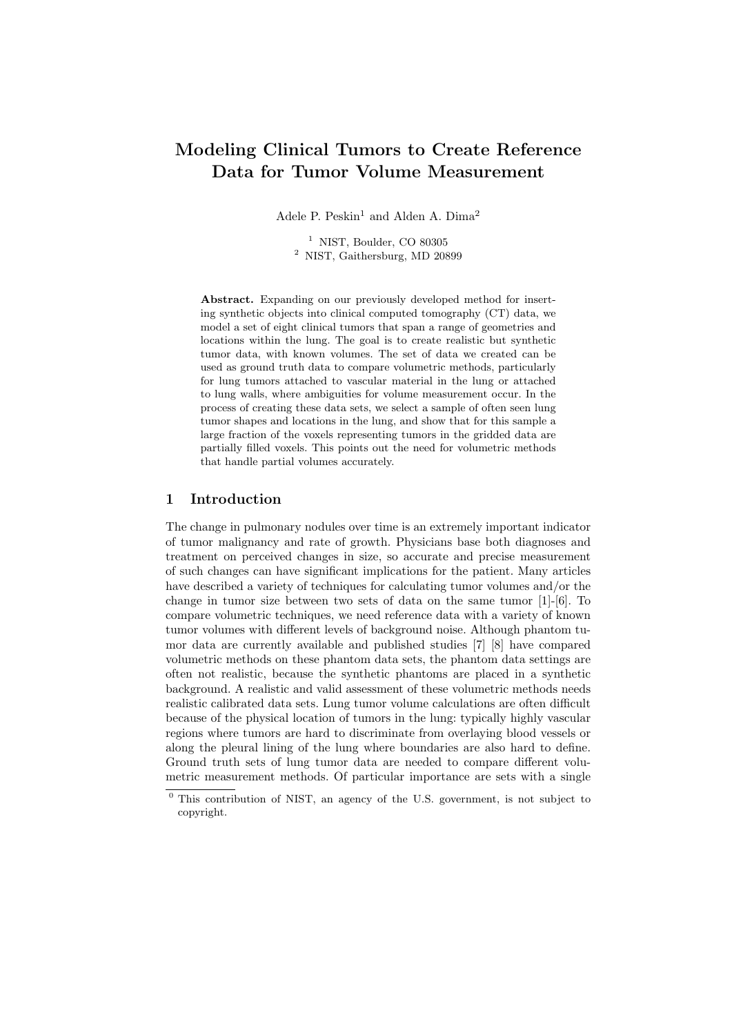# Modeling Clinical Tumors to Create Reference Data for Tumor Volume Measurement

Adele P. Peskin<sup>1</sup> and Alden A. Dima<sup>2</sup>

 $<sup>1</sup>$  NIST, Boulder, CO 80305</sup> <sup>2</sup> NIST, Gaithersburg, MD 20899

Abstract. Expanding on our previously developed method for inserting synthetic objects into clinical computed tomography (CT) data, we model a set of eight clinical tumors that span a range of geometries and locations within the lung. The goal is to create realistic but synthetic tumor data, with known volumes. The set of data we created can be used as ground truth data to compare volumetric methods, particularly for lung tumors attached to vascular material in the lung or attached to lung walls, where ambiguities for volume measurement occur. In the process of creating these data sets, we select a sample of often seen lung tumor shapes and locations in the lung, and show that for this sample a large fraction of the voxels representing tumors in the gridded data are partially filled voxels. This points out the need for volumetric methods that handle partial volumes accurately.

#### 1 Introduction

The change in pulmonary nodules over time is an extremely important indicator of tumor malignancy and rate of growth. Physicians base both diagnoses and treatment on perceived changes in size, so accurate and precise measurement of such changes can have significant implications for the patient. Many articles have described a variety of techniques for calculating tumor volumes and/or the change in tumor size between two sets of data on the same tumor  $[1]$ - $[6]$ . To compare volumetric techniques, we need reference data with a variety of known tumor volumes with different levels of background noise. Although phantom tumor data are currently available and published studies [7] [8] have compared volumetric methods on these phantom data sets, the phantom data settings are often not realistic, because the synthetic phantoms are placed in a synthetic background. A realistic and valid assessment of these volumetric methods needs realistic calibrated data sets. Lung tumor volume calculations are often difficult because of the physical location of tumors in the lung: typically highly vascular regions where tumors are hard to discriminate from overlaying blood vessels or along the pleural lining of the lung where boundaries are also hard to define. Ground truth sets of lung tumor data are needed to compare different volumetric measurement methods. Of particular importance are sets with a single

 $0$  This contribution of NIST, an agency of the U.S. government, is not subject to copyright.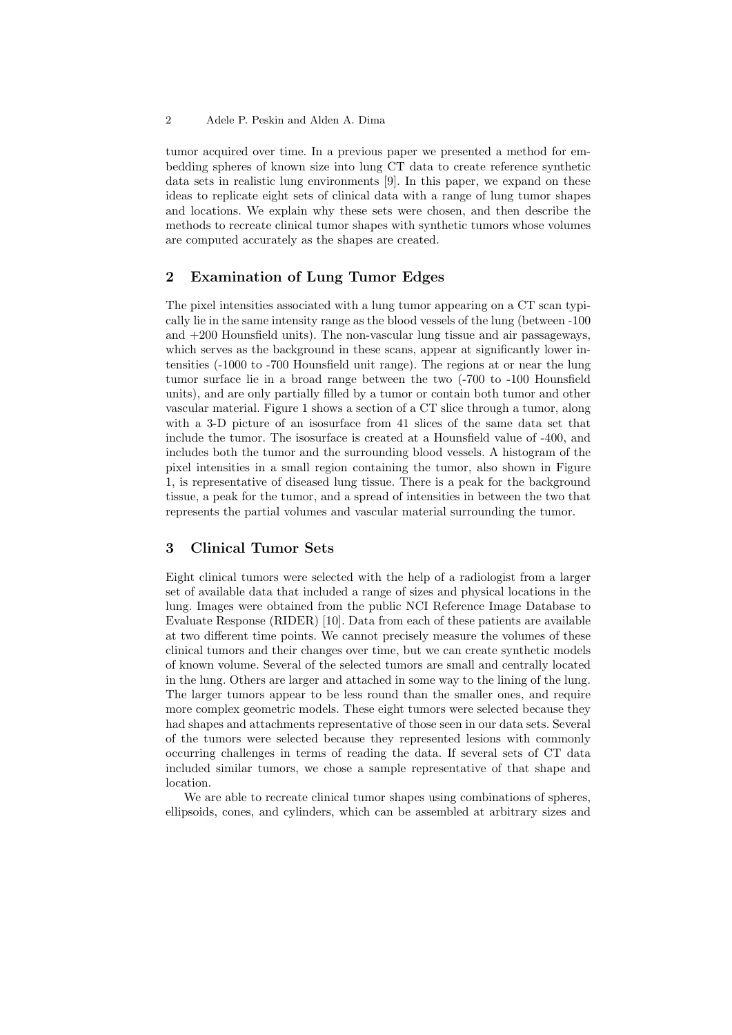tumor acquired over time. In a previous paper we presented a method for embedding spheres of known size into lung CT data to create reference synthetic data sets in realistic lung environments [9]. In this paper, we expand on these ideas to replicate eight sets of clinical data with a range of lung tumor shapes and locations. We explain why these sets were chosen, and then describe the methods to recreate clinical tumor shapes with synthetic tumors whose volumes are computed accurately as the shapes are created.

# 2 Examination of Lung Tumor Edges

The pixel intensities associated with a lung tumor appearing on a CT scan typically lie in the same intensity range as the blood vessels of the lung (between -100 and +200 Hounsfield units). The non-vascular lung tissue and air passageways, which serves as the background in these scans, appear at significantly lower intensities (-1000 to -700 Hounsfield unit range). The regions at or near the lung tumor surface lie in a broad range between the two (-700 to -100 Hounsfield units), and are only partially filled by a tumor or contain both tumor and other vascular material. Figure 1 shows a section of a CT slice through a tumor, along with a 3-D picture of an isosurface from 41 slices of the same data set that include the tumor. The isosurface is created at a Hounsfield value of -400, and includes both the tumor and the surrounding blood vessels. A histogram of the pixel intensities in a small region containing the tumor, also shown in Figure 1, is representative of diseased lung tissue. There is a peak for the background tissue, a peak for the tumor, and a spread of intensities in between the two that represents the partial volumes and vascular material surrounding the tumor.

#### 3 Clinical Tumor Sets

Eight clinical tumors were selected with the help of a radiologist from a larger set of available data that included a range of sizes and physical locations in the lung. Images were obtained from the public NCI Reference Image Database to Evaluate Response (RIDER) [10]. Data from each of these patients are available at two different time points. We cannot precisely measure the volumes of these clinical tumors and their changes over time, but we can create synthetic models of known volume. Several of the selected tumors are small and centrally located in the lung. Others are larger and attached in some way to the lining of the lung. The larger tumors appear to be less round than the smaller ones, and require more complex geometric models. These eight tumors were selected because they had shapes and attachments representative of those seen in our data sets. Several of the tumors were selected because they represented lesions with commonly occurring challenges in terms of reading the data. If several sets of CT data included similar tumors, we chose a sample representative of that shape and location.

We are able to recreate clinical tumor shapes using combinations of spheres, ellipsoids, cones, and cylinders, which can be assembled at arbitrary sizes and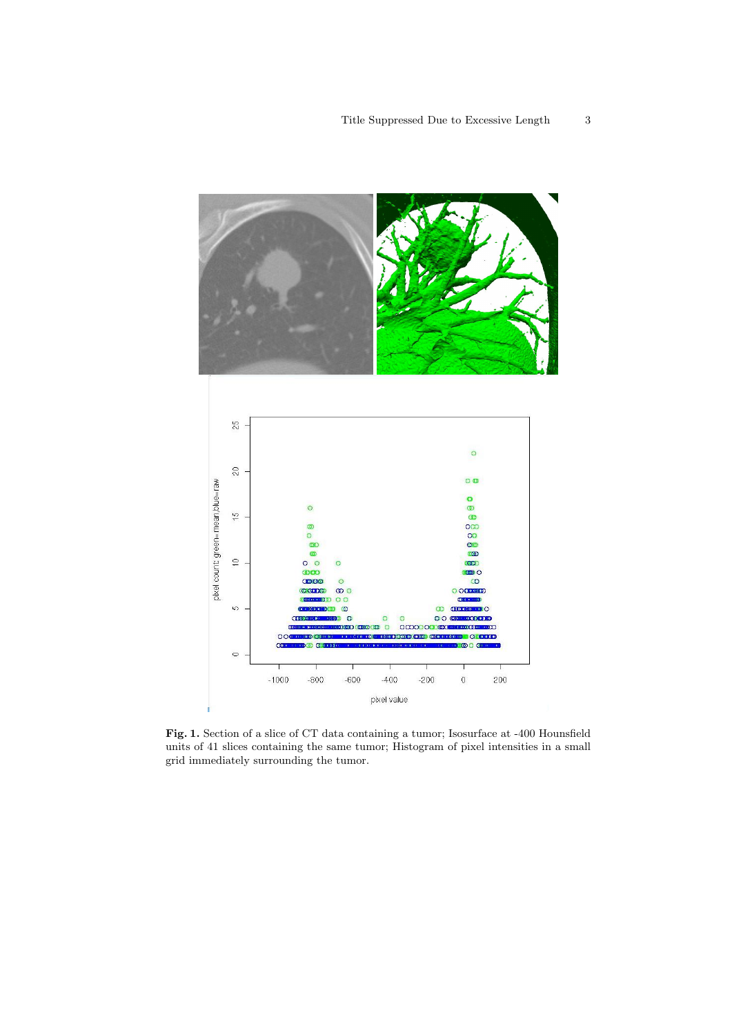

Fig. 1. Section of a slice of CT data containing a tumor; Isosurface at -400 Hounsfield units of 41 slices containing the same tumor; Histogram of pixel intensities in a small grid immediately surrounding the tumor.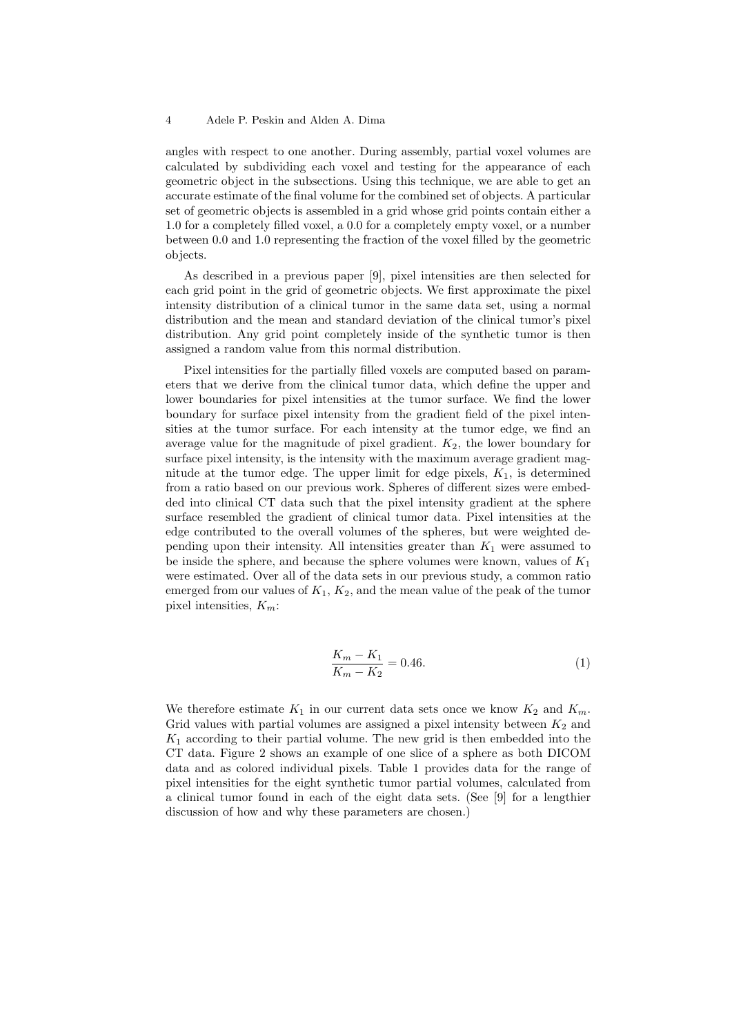#### 4 Adele P. Peskin and Alden A. Dima

angles with respect to one another. During assembly, partial voxel volumes are calculated by subdividing each voxel and testing for the appearance of each geometric object in the subsections. Using this technique, we are able to get an accurate estimate of the final volume for the combined set of objects. A particular set of geometric objects is assembled in a grid whose grid points contain either a 1.0 for a completely filled voxel, a 0.0 for a completely empty voxel, or a number between 0.0 and 1.0 representing the fraction of the voxel filled by the geometric objects.

As described in a previous paper [9], pixel intensities are then selected for each grid point in the grid of geometric objects. We first approximate the pixel intensity distribution of a clinical tumor in the same data set, using a normal distribution and the mean and standard deviation of the clinical tumor's pixel distribution. Any grid point completely inside of the synthetic tumor is then assigned a random value from this normal distribution.

Pixel intensities for the partially filled voxels are computed based on parameters that we derive from the clinical tumor data, which define the upper and lower boundaries for pixel intensities at the tumor surface. We find the lower boundary for surface pixel intensity from the gradient field of the pixel intensities at the tumor surface. For each intensity at the tumor edge, we find an average value for the magnitude of pixel gradient.  $K_2$ , the lower boundary for surface pixel intensity, is the intensity with the maximum average gradient magnitude at the tumor edge. The upper limit for edge pixels,  $K_1$ , is determined from a ratio based on our previous work. Spheres of different sizes were embedded into clinical CT data such that the pixel intensity gradient at the sphere surface resembled the gradient of clinical tumor data. Pixel intensities at the edge contributed to the overall volumes of the spheres, but were weighted depending upon their intensity. All intensities greater than  $K_1$  were assumed to be inside the sphere, and because the sphere volumes were known, values of  $K_1$ were estimated. Over all of the data sets in our previous study, a common ratio emerged from our values of  $K_1, K_2$ , and the mean value of the peak of the tumor pixel intensities,  $K_m$ :

$$
\frac{K_m - K_1}{K_m - K_2} = 0.46. \tag{1}
$$

We therefore estimate  $K_1$  in our current data sets once we know  $K_2$  and  $K_m$ . Grid values with partial volumes are assigned a pixel intensity between  $K_2$  and  $K_1$  according to their partial volume. The new grid is then embedded into the CT data. Figure 2 shows an example of one slice of a sphere as both DICOM data and as colored individual pixels. Table 1 provides data for the range of pixel intensities for the eight synthetic tumor partial volumes, calculated from a clinical tumor found in each of the eight data sets. (See [9] for a lengthier discussion of how and why these parameters are chosen.)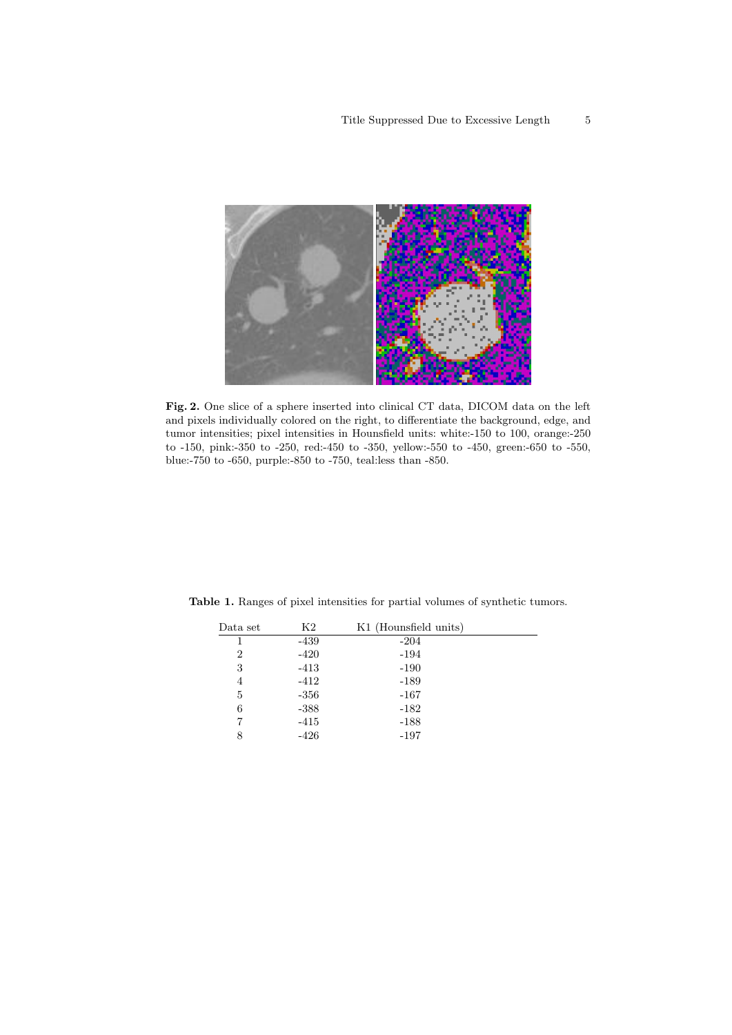

Fig. 2. One slice of a sphere inserted into clinical CT data, DICOM data on the left and pixels individually colored on the right, to differentiate the background, edge, and tumor intensities; pixel intensities in Hounsfield units: white:-150 to 100, orange:-250 to -150, pink:-350 to -250, red:-450 to -350, yellow:-550 to -450, green:-650 to -550, blue:-750 to -650, purple:-850 to -750, teal:less than -850.

| Data set       | Κ2     | K1 (Hounsfield units) |  |
|----------------|--------|-----------------------|--|
| 1              | -439   | $-204$                |  |
| $\overline{2}$ | $-420$ | -194                  |  |
| 3              | $-413$ | $-190$                |  |
| 4              | $-412$ | -189                  |  |
| 5              | $-356$ | $-167$                |  |
| 6              | $-388$ | $-182$                |  |
|                | $-415$ | $-188$                |  |
| 8              | $-426$ | -197                  |  |
|                |        |                       |  |

Table 1. Ranges of pixel intensities for partial volumes of synthetic tumors.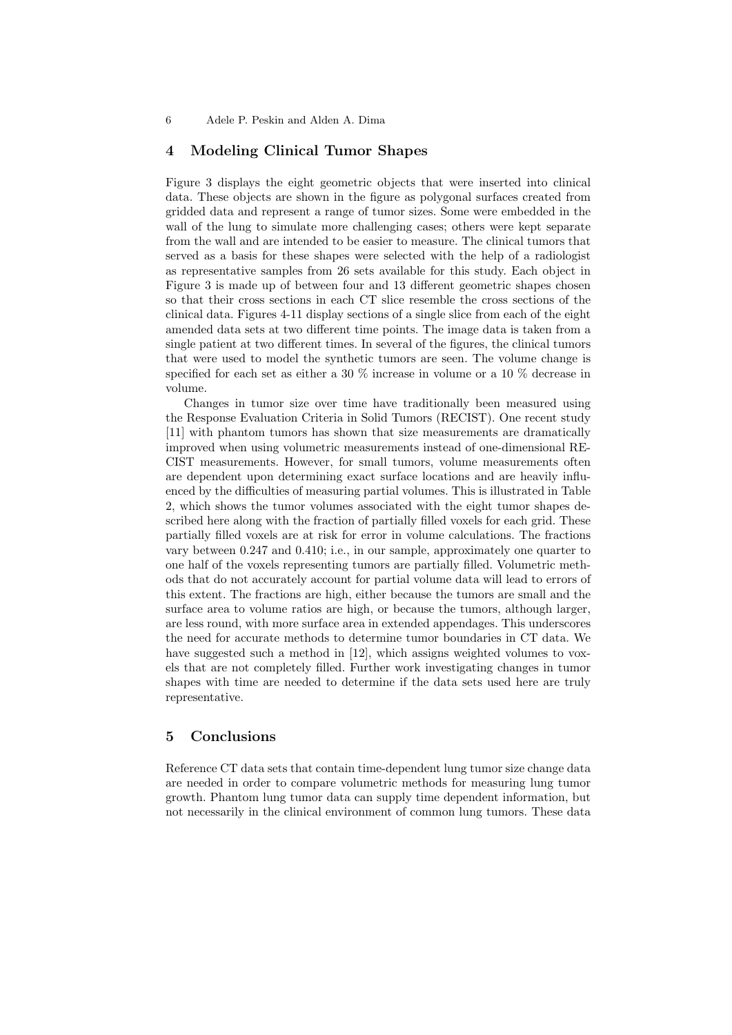#### 4 Modeling Clinical Tumor Shapes

Figure 3 displays the eight geometric objects that were inserted into clinical data. These objects are shown in the figure as polygonal surfaces created from gridded data and represent a range of tumor sizes. Some were embedded in the wall of the lung to simulate more challenging cases; others were kept separate from the wall and are intended to be easier to measure. The clinical tumors that served as a basis for these shapes were selected with the help of a radiologist as representative samples from 26 sets available for this study. Each object in Figure 3 is made up of between four and 13 different geometric shapes chosen so that their cross sections in each CT slice resemble the cross sections of the clinical data. Figures 4-11 display sections of a single slice from each of the eight amended data sets at two different time points. The image data is taken from a single patient at two different times. In several of the figures, the clinical tumors that were used to model the synthetic tumors are seen. The volume change is specified for each set as either a 30  $\%$  increase in volume or a 10  $\%$  decrease in volume.

Changes in tumor size over time have traditionally been measured using the Response Evaluation Criteria in Solid Tumors (RECIST). One recent study [11] with phantom tumors has shown that size measurements are dramatically improved when using volumetric measurements instead of one-dimensional RE-CIST measurements. However, for small tumors, volume measurements often are dependent upon determining exact surface locations and are heavily influenced by the difficulties of measuring partial volumes. This is illustrated in Table 2, which shows the tumor volumes associated with the eight tumor shapes described here along with the fraction of partially filled voxels for each grid. These partially filled voxels are at risk for error in volume calculations. The fractions vary between 0.247 and 0.410; i.e., in our sample, approximately one quarter to one half of the voxels representing tumors are partially filled. Volumetric methods that do not accurately account for partial volume data will lead to errors of this extent. The fractions are high, either because the tumors are small and the surface area to volume ratios are high, or because the tumors, although larger, are less round, with more surface area in extended appendages. This underscores the need for accurate methods to determine tumor boundaries in CT data. We have suggested such a method in [12], which assigns weighted volumes to voxels that are not completely filled. Further work investigating changes in tumor shapes with time are needed to determine if the data sets used here are truly representative.

## 5 Conclusions

Reference CT data sets that contain time-dependent lung tumor size change data are needed in order to compare volumetric methods for measuring lung tumor growth. Phantom lung tumor data can supply time dependent information, but not necessarily in the clinical environment of common lung tumors. These data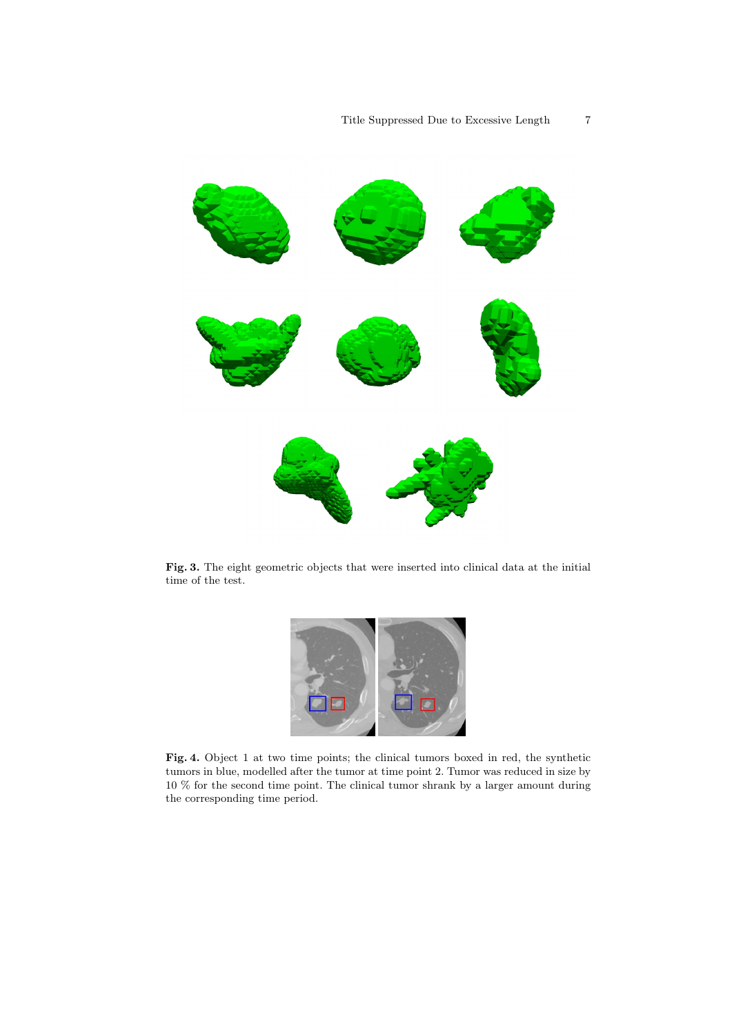

Fig. 3. The eight geometric objects that were inserted into clinical data at the initial time of the test.



Fig. 4. Object 1 at two time points; the clinical tumors boxed in red, the synthetic tumors in blue, modelled after the tumor at time point 2. Tumor was reduced in size by  $10$  % for the second time point. The clinical tumor shrank by a larger amount during the corresponding time period.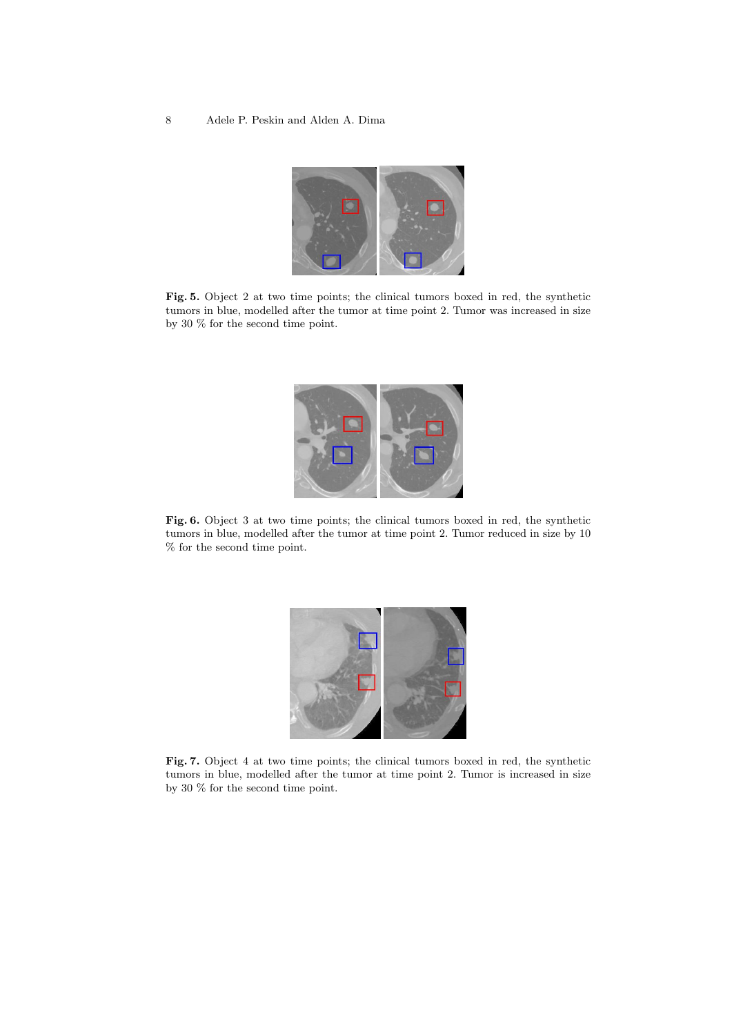#### 8 Adele P. Peskin and Alden A. Dima



Fig. 5. Object 2 at two time points; the clinical tumors boxed in red, the synthetic tumors in blue, modelled after the tumor at time point 2. Tumor was increased in size by 30 % for the second time point.



Fig. 6. Object 3 at two time points; the clinical tumors boxed in red, the synthetic tumors in blue, modelled after the tumor at time point 2. Tumor reduced in size by 10 % for the second time point.



Fig. 7. Object 4 at two time points; the clinical tumors boxed in red, the synthetic tumors in blue, modelled after the tumor at time point 2. Tumor is increased in size by 30 % for the second time point.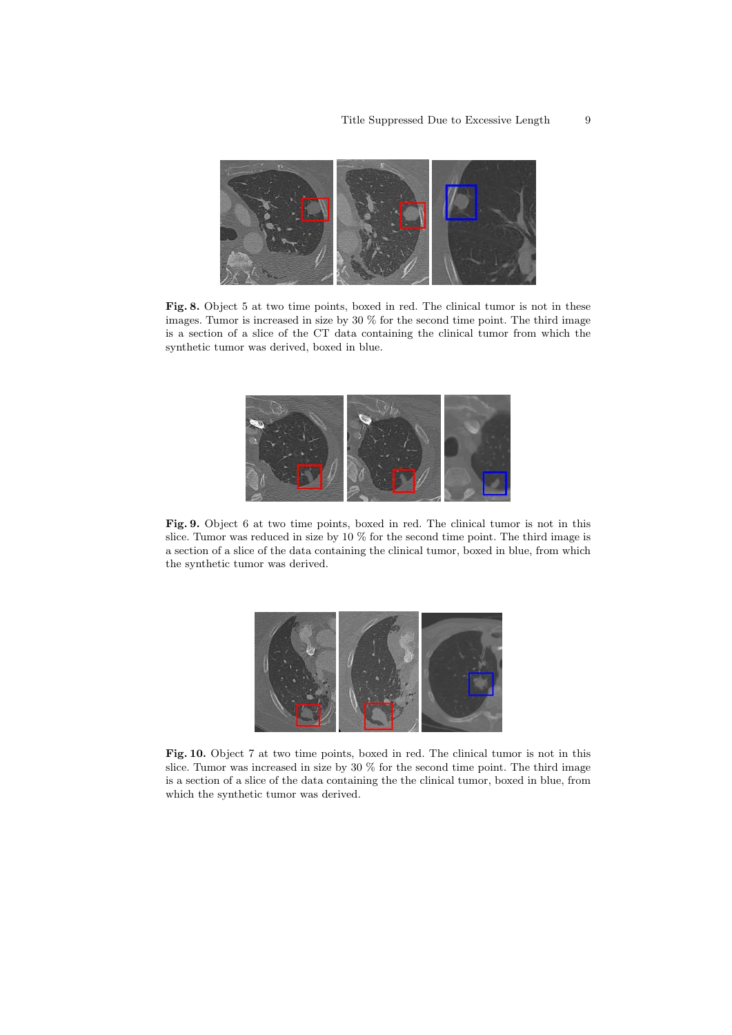

Fig. 8. Object 5 at two time points, boxed in red. The clinical tumor is not in these images. Tumor is increased in size by 30 % for the second time point. The third image is a section of a slice of the CT data containing the clinical tumor from which the synthetic tumor was derived, boxed in blue.



Fig. 9. Object 6 at two time points, boxed in red. The clinical tumor is not in this slice. Tumor was reduced in size by 10 % for the second time point. The third image is a section of a slice of the data containing the clinical tumor, boxed in blue, from which the synthetic tumor was derived.



Fig. 10. Object 7 at two time points, boxed in red. The clinical tumor is not in this slice. Tumor was increased in size by 30 % for the second time point. The third image is a section of a slice of the data containing the the clinical tumor, boxed in blue, from which the synthetic tumor was derived.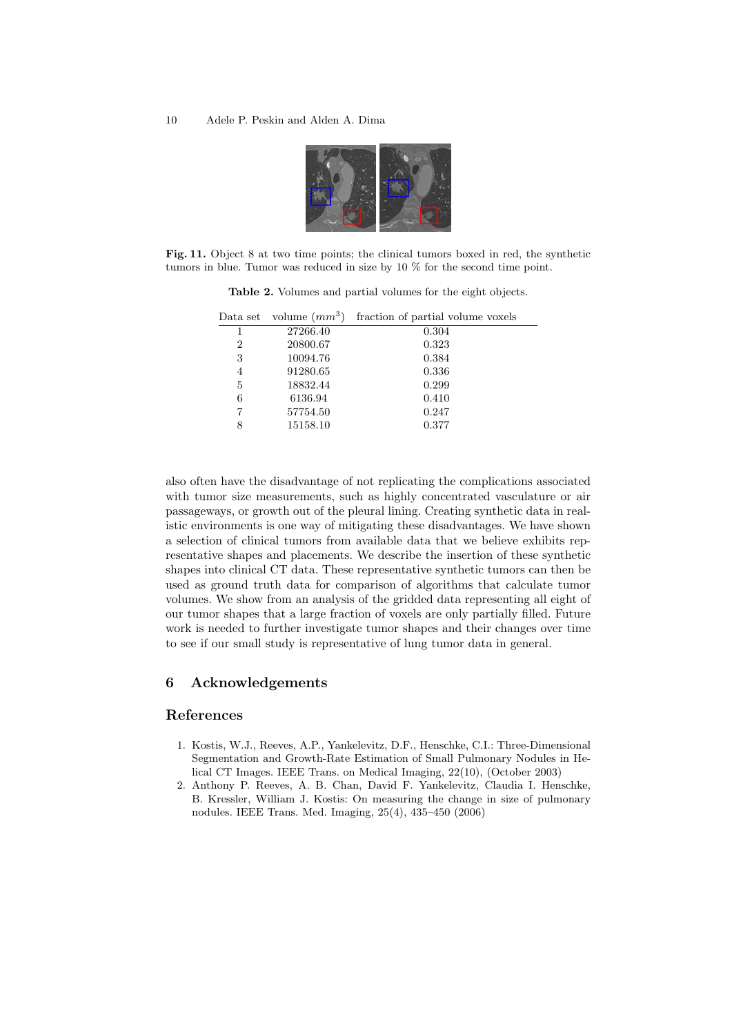

Fig. 11. Object 8 at two time points; the clinical tumors boxed in red, the synthetic tumors in blue. Tumor was reduced in size by 10 % for the second time point.

|                | Data set volume $(mm^3)$ | fraction of partial volume voxels |
|----------------|--------------------------|-----------------------------------|
|                | 27266.40                 | 0.304                             |
| $\overline{2}$ | 20800.67                 | 0.323                             |
| 3              | 10094.76                 | 0.384                             |
| $\overline{4}$ | 91280.65                 | 0.336                             |
| 5              | 18832.44                 | 0.299                             |
| 6              | 6136.94                  | 0.410                             |
| 7              | 57754.50                 | 0.247                             |
| 8              | 15158.10                 | 0.377                             |

Table 2. Volumes and partial volumes for the eight objects.

also often have the disadvantage of not replicating the complications associated with tumor size measurements, such as highly concentrated vasculature or air passageways, or growth out of the pleural lining. Creating synthetic data in realistic environments is one way of mitigating these disadvantages. We have shown a selection of clinical tumors from available data that we believe exhibits representative shapes and placements. We describe the insertion of these synthetic shapes into clinical CT data. These representative synthetic tumors can then be used as ground truth data for comparison of algorithms that calculate tumor volumes. We show from an analysis of the gridded data representing all eight of our tumor shapes that a large fraction of voxels are only partially filled. Future work is needed to further investigate tumor shapes and their changes over time to see if our small study is representative of lung tumor data in general.

# 6 Acknowledgements

#### References

- 1. Kostis, W.J., Reeves, A.P., Yankelevitz, D.F., Henschke, C.I.: Three-Dimensional Segmentation and Growth-Rate Estimation of Small Pulmonary Nodules in Helical CT Images. IEEE Trans. on Medical Imaging, 22(10), (October 2003)
- 2. Anthony P. Reeves, A. B. Chan, David F. Yankelevitz, Claudia I. Henschke, B. Kressler, William J. Kostis: On measuring the change in size of pulmonary nodules. IEEE Trans. Med. Imaging, 25(4), 435–450 (2006)